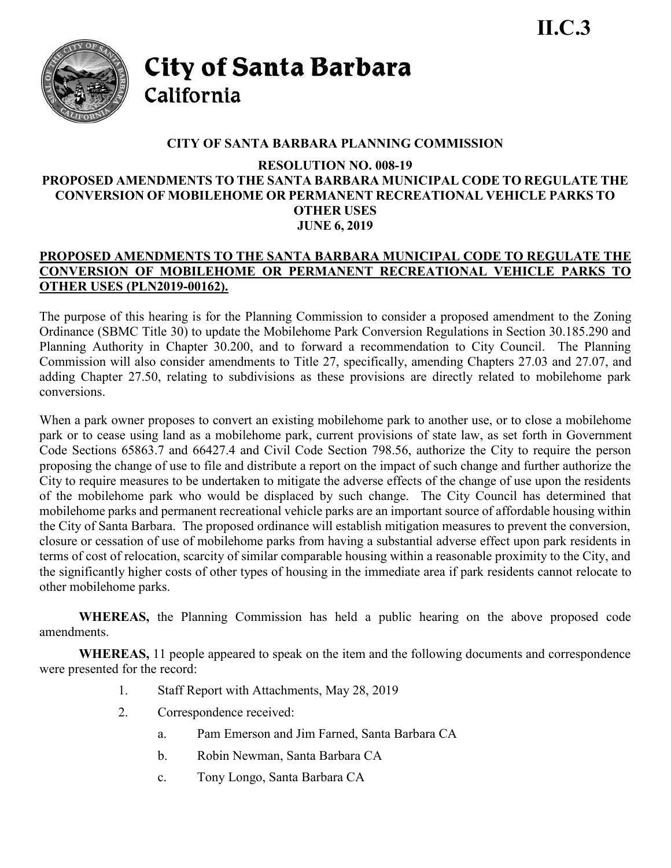

City of Santa Barbara California

# **CITY OF SANTA BARBARA PLANNING COMMISSION**

### **RESOLUTION NO. 008-19 PROPOSED AMENDMENTS TO THE SANTA BARBARA MUNICIPAL CODE TO REGULATE THE CONVERSION OF MOBILEHOME OR PERMANENT RECREATIONAL VEHICLE PARKS TO OTHER USES JUNE 6, 2019**

## **PROPOSED AMENDMENTS TO THE SANTA BARBARA MUNICIPAL CODE TO REGULATE THE CONVERSION OF MOBILEHOME OR PERMANENT RECREATIONAL VEHICLE PARKS TO OTHER USES (PLN2019-00162).**

The purpose of this hearing is for the Planning Commission to consider a proposed amendment to the Zoning Ordinance (SBMC Title 30) to update the Mobilehome Park Conversion Regulations in Section 30.185.290 and Planning Authority in Chapter 30.200, and to forward a recommendation to City Council. The Planning Commission will also consider amendments to Title 27, specifically, amending Chapters 27.03 and 27.07, and adding Chapter 27.50, relating to subdivisions as these provisions are directly related to mobilehome park conversions.

When a park owner proposes to convert an existing mobilehome park to another use, or to close a mobilehome park or to cease using land as a mobilehome park, current provisions of state law, as set forth in Government Code Sections 65863.7 and 66427.4 and Civil Code Section 798.56, authorize the City to require the person proposing the change of use to file and distribute a report on the impact of such change and further authorize the City to require measures to be undertaken to mitigate the adverse effects of the change of use upon the residents of the mobilehome park who would be displaced by such change. The City Council has determined that mobilehome parks and permanent recreational vehicle parks are an important source of affordable housing within the City of Santa Barbara. The proposed ordinance will establish mitigation measures to prevent the conversion, closure or cessation of use of mobilehome parks from having a substantial adverse effect upon park residents in terms of cost of relocation, scarcity of similar comparable housing within a reasonable proximity to the City, and the significantly higher costs of other types of housing in the immediate area if park residents cannot relocate to other mobilehome parks.

**WHEREAS,** the Planning Commission has held a public hearing on the above proposed code amendments.

**WHEREAS,** 11 people appeared to speak on the item and the following documents and correspondence were presented for the record:

- 1. Staff Report with Attachments, May 28, 2019
- 2. Correspondence received:
	- a. Pam Emerson and Jim Farned, Santa Barbara CA
	- b. Robin Newman, Santa Barbara CA
	- c. Tony Longo, Santa Barbara CA